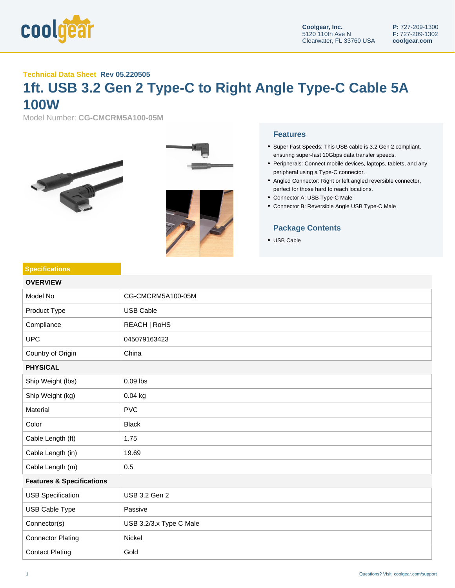

## **Technical Data Sheet Rev 05.220505**

## **1ft. USB 3.2 Gen 2 Type-C to Right Angle Type-C Cable 5A 100W**

Model Number: **CG-CMCRM5A100-05M**



**Specifications**



## **Features**

- Super Fast Speeds: This USB cable is 3.2 Gen 2 compliant, ensuring super-fast 10Gbps data transfer speeds.
- Peripherals: Connect mobile devices, laptops, tablets, and any peripheral using a Type-C connector.
- Angled Connector: Right or left angled reversible connector, perfect for those hard to reach locations.
- Connector A: USB Type-C Male
- Connector B: Reversible Angle USB Type-C Male

## **Package Contents**

USB Cable

| <b>OVERVIEW</b>                      |                         |  |
|--------------------------------------|-------------------------|--|
| Model No                             | CG-CMCRM5A100-05M       |  |
| Product Type                         | <b>USB Cable</b>        |  |
| Compliance                           | REACH   RoHS            |  |
| <b>UPC</b>                           | 045079163423            |  |
| Country of Origin                    | China                   |  |
| <b>PHYSICAL</b>                      |                         |  |
| Ship Weight (lbs)                    | $0.09$ lbs              |  |
| Ship Weight (kg)                     | 0.04 kg                 |  |
| Material                             | <b>PVC</b>              |  |
| Color                                | <b>Black</b>            |  |
| Cable Length (ft)                    | 1.75                    |  |
| Cable Length (in)                    | 19.69                   |  |
| Cable Length (m)                     | 0.5                     |  |
| <b>Features &amp; Specifications</b> |                         |  |
| <b>USB Specification</b>             | USB 3.2 Gen 2           |  |
| USB Cable Type                       | Passive                 |  |
| Connector(s)                         | USB 3.2/3.x Type C Male |  |
| <b>Connector Plating</b>             | Nickel                  |  |
|                                      |                         |  |

Contact Plating Gold